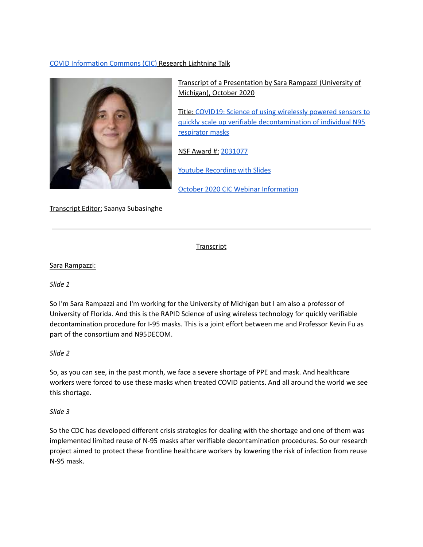# COVID [Information](https://covidinfocommons.datascience.columbia.edu/) Commons (CIC) Research Lightning Talk



 Transcript of a Presentation by Sara Rampazzi (University of Michigan), October 2020

 Title: COVID19: Science of using [wirelessly](https://covidinfocommons.datascience.columbia.edu/awards/2031077) powered sensors to quickly scale up verifiable [decontamination](https://covidinfocommons.datascience.columbia.edu/awards/2031077) of individual N95 [respirator](https://covidinfocommons.datascience.columbia.edu/awards/2031077) masks

NSF Award #: [2031077](https://www.nsf.gov/awardsearch/showAward?AWD_ID=2031077&HistoricalAwards=false)

**Youtube [Recording](https://youtu.be/uP8YWpDaAgg) with Slides** 

October 2020 CIC Webinar [Information](https://nebigdatahub.org/events/october-covid-19-research-lightning-talks-webinar-and-qa/)

Transcript Editor: Saanya Subasinghe

**Transcript** 

# Sara Rampazzi:

*Slide 1*

 So I'm Sara Rampazzi and I'm working for the University of Michigan but I am also a professor of University of Florida. And this is the RAPID Science of using wireless technology for quickly verifiable decontamination procedure for I-95 masks. This is a joint effort between me and Professor Kevin Fu as part of the consortium and N95DECOM.

*Slide 2*

 So, as you can see, in the past month, we face a severe shortage of PPE and mask. And healthcare workers were forced to use these masks when treated COVID patients. And all around the world we see this shortage.

*Slide 3*

 So the CDC has developed different crisis strategies for dealing with the shortage and one of them was implemented limited reuse of N-95 masks after verifiable decontamination procedures. So our research project aimed to protect these frontline healthcare workers by lowering the risk of infection from reuse N-95 mask.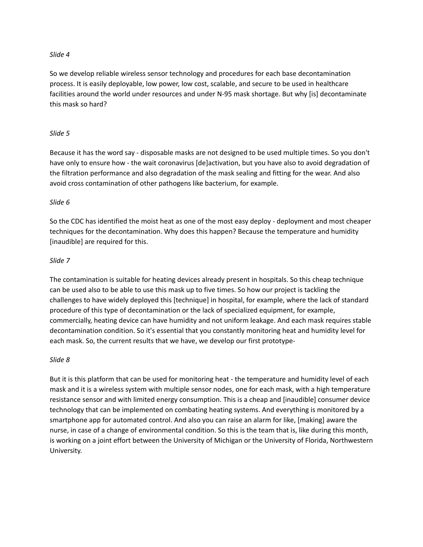#### *Slide 4*

 So we develop reliable wireless sensor technology and procedures for each base decontamination process. It is easily deployable, low power, low cost, scalable, and secure to be used in healthcare facilities around the world under resources and under N-95 mask shortage. But why [is] decontaminate this mask so hard?

### *Slide 5*

 Because it has the word say - disposable masks are not designed to be used multiple times. So you don't have only to ensure how - the wait coronavirus [de]activation, but you have also to avoid degradation of the filtration performance and also degradation of the mask sealing and fitting for the wear. And also avoid cross contamination of other pathogens like bacterium, for example.

### *Slide 6*

 So the CDC has identified the moist heat as one of the most easy deploy - deployment and most cheaper techniques for the decontamination. Why does this happen? Because the temperature and humidity [inaudible] are required for this.

### *Slide 7*

 The contamination is suitable for heating devices already present in hospitals. So this cheap technique can be used also to be able to use this mask up to five times. So how our project is tackling the challenges to have widely deployed this [technique] in hospital, for example, where the lack of standard procedure of this type of decontamination or the lack of specialized equipment, for example, commercially, heating device can have humidity and not uniform leakage. And each mask requires stable decontamination condition. So it's essential that you constantly monitoring heat and humidity level for each mask. So, the current results that we have, we develop our first prototype-

#### *Slide 8*

 But it is this platform that can be used for monitoring heat - the temperature and humidity level of each mask and it is a wireless system with multiple sensor nodes, one for each mask, with a high temperature resistance sensor and with limited energy consumption. This is a cheap and [inaudible] consumer device technology that can be implemented on combating heating systems. And everything is monitored by a smartphone app for automated control. And also you can raise an alarm for like, [making] aware the nurse, in case of a change of environmental condition. So this is the team that is, like during this month, is working on a joint effort between the University of Michigan or the University of Florida, Northwestern University.